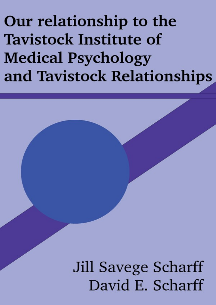Our relationship to the **Tavistock Institute of Medical Psychology** and Tavistock Relationships

> Jill Savege Scharff David E. Scharff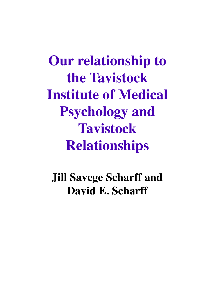**Our relationship to the Tavistock Institute of Medical Psychology and Tavistock Relationships**

**Jill Savege Scharff and David E. Scharff**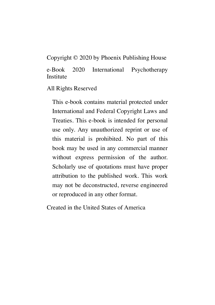Copyright © 2020 by Phoenix Publishing House

e-Book 2020 International Psychotherapy Institute

All Rights Reserved

This e-book contains material protected under International and Federal Copyright Laws and Treaties. This e-book is intended for personal use only. Any unauthorized reprint or use of this material is prohibited. No part of this book may be used in any commercial manner without express permission of the author. Scholarly use of quotations must have proper attribution to the published work. This work may not be deconstructed, reverse engineered or reproduced in any other format.

Created in the United States of America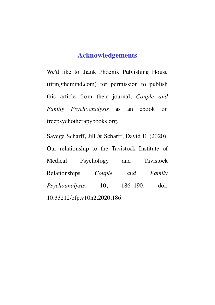# **Acknowledgements**

We'd like to thank Phoenix Publishing House [\(firingthemind.com\)](https://firingthemind.com/) for permission to publish this article from their journal, *Couple and Family Psychoanalysis* as an ebook on freepsychotherapybooks.org.

Savege Scharff, Jill & Scharff, David E. (2020). Our relationship to the Tavistock Institute of Medical Psychology and Tavistock Relationships *Couple and Family Psychoanalysis*[, 10, 186–190. doi:](https://firingthemind.com/product/cfp-v10n2/) 10.33212/cfp.v10n2.2020.186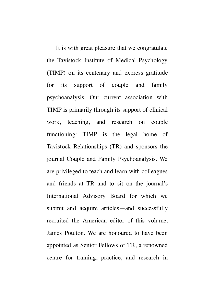It is with great pleasure that we congratulate the Tavistock Institute of Medical Psychology (TIMP) on its centenary and express gratitude for its support of couple and family psychoanalysis. Our current association with TIMP is primarily through its support of clinical work, teaching, and research on couple functioning: TIMP is the legal home of Tavistock Relationships (TR) and sponsors the journal Couple and Family Psychoanalysis. We are privileged to teach and learn with colleagues and friends at TR and to sit on the journal's International Advisory Board for which we submit and acquire articles—and successfully recruited the American editor of this volume, James Poulton. We are honoured to have been appointed as Senior Fellows of TR, a renowned centre for training, practice, and research in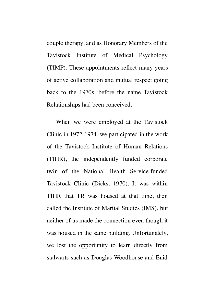couple therapy, and as Honorary Members of the Tavistock Institute of Medical Psychology (TIMP). These appointments reflect many years of active collaboration and mutual respect going back to the 1970s, before the name Tavistock Relationships had been conceived.

When we were employed at the Tavistock Clinic in 1972-1974, we participated in the work of the Tavistock Institute of Human Relations (TIHR), the independently funded corporate twin of the National Health Service-funded Tavistock Clinic (Dicks, 1970). It was within TIHR that TR was housed at that time, then called the Institute of Marital Studies (IMS), but neither of us made the connection even though it was housed in the same building. Unfortunately, we lost the opportunity to learn directly from stalwarts such as Douglas Woodhouse and Enid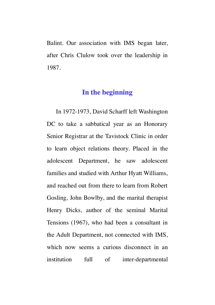Balint. Our association with IMS began later, after Chris Clulow took over the leadership in 1987.

# **In the beginning**

In 1972-1973, David Scharff left Washington DC to take a sabbatical year as an Honorary Senior Registrar at the Tavistock Clinic in order to learn object relations theory. Placed in the adolescent Department, he saw adolescent families and studied with Arthur Hyatt Williams, and reached out from there to learn from Robert Gosling, John Bowlby, and the marital therapist Henry Dicks, author of the seminal Marital Tensions (1967), who had been a consultant in the Adult Department, not connected with IMS, which now seems a curious disconnect in an institution full of inter-departmental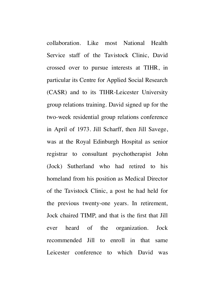collaboration. Like most National Health Service staff of the Tavistock Clinic, David crossed over to pursue interests at TIHR, in particular its Centre for Applied Social Research (CASR) and to its TIHR-Leicester University group relations training. David signed up for the two-week residential group relations conference in April of 1973. Jill Scharff, then Jill Savege, was at the Royal Edinburgh Hospital as senior registrar to consultant psychotherapist John (Jock) Sutherland who had retired to his homeland from his position as Medical Director of the Tavistock Clinic, a post he had held for the previous twenty-one years. In retirement, Jock chaired TIMP, and that is the first that Jill ever heard of the organization. Jock recommended Jill to enroll in that same Leicester conference to which David was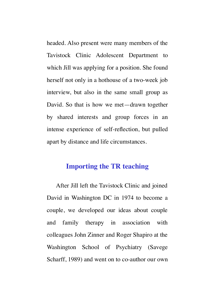headed. Also present were many members of the Tavistock Clinic Adolescent Department to which Jill was applying for a position. She found herself not only in a hothouse of a two-week job interview, but also in the same small group as David. So that is how we met—drawn together by shared interests and group forces in an intense experience of self-reflection, but pulled apart by distance and life circumstances.

### **Importing the TR teaching**

After Jill left the Tavistock Clinic and joined David in Washington DC in 1974 to become a couple, we developed our ideas about couple and family therapy in association with colleagues John Zinner and Roger Shapiro at the Washington School of Psychiatry (Savege Scharff, 1989) and went on to co-author our own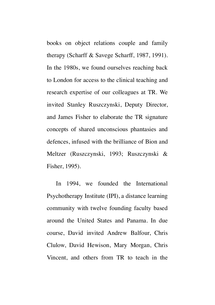books on object relations couple and family therapy (Scharff & Savege Scharff, 1987, 1991). In the 1980s, we found ourselves reaching back to London for access to the clinical teaching and research expertise of our colleagues at TR. We invited Stanley Ruszczynski, Deputy Director, and James Fisher to elaborate the TR signature concepts of shared unconscious phantasies and defences, infused with the brilliance of Bion and Meltzer (Ruszczynski, 1993; Ruszczynski & Fisher, 1995).

In 1994, we founded the International Psychotherapy Institute (IPI), a distance learning community with twelve founding faculty based around the United States and Panama. In due course, David invited Andrew Balfour, Chris Clulow, David Hewison, Mary Morgan, Chris Vincent, and others from TR to teach in the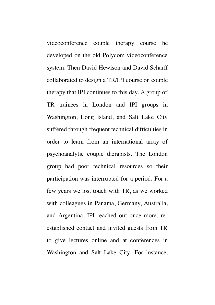videoconference couple therapy course he developed on the old Polycom videoconference system. Then David Hewison and David Scharff collaborated to design a TR/IPI course on couple therapy that IPI continues to this day. A group of TR trainees in London and IPI groups in Washington, Long Island, and Salt Lake City suffered through frequent technical difficulties in order to learn from an international array of psychoanalytic couple therapists. The London group had poor technical resources so their participation was interrupted for a period. For a few years we lost touch with TR, as we worked with colleagues in Panama, Germany, Australia, and Argentina. IPI reached out once more, reestablished contact and invited guests from TR to give lectures online and at conferences in Washington and Salt Lake City. For instance,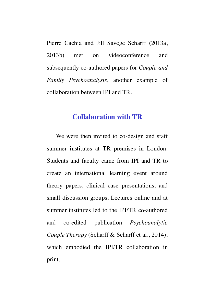Pierre Cachia and Jill Savege Scharff (2013a, 2013b) met on videoconference and subsequently co-authored papers for *Couple and Family Psychoanalysis*, another example of collaboration between IPI and TR.

## **Collaboration with TR**

We were then invited to co-design and staff summer institutes at TR premises in London. Students and faculty came from IPI and TR to create an international learning event around theory papers, clinical case presentations, and small discussion groups. Lectures online and at summer institutes led to the IPI/TR co-authored and co-edited publication *Psychoanalytic Couple Therapy* (Scharff & Scharff et al., 2014), which embodied the IPI/TR collaboration in print.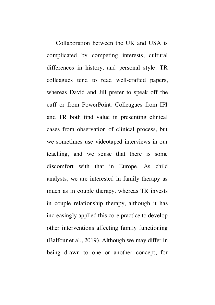Collaboration between the UK and USA is complicated by competing interests, cultural differences in history, and personal style. TR colleagues tend to read well-crafted papers, whereas David and Jill prefer to speak off the cuff or from PowerPoint. Colleagues from IPI and TR both find value in presenting clinical cases from observation of clinical process, but we sometimes use videotaped interviews in our teaching, and we sense that there is some discomfort with that in Europe. As child analysts, we are interested in family therapy as much as in couple therapy, whereas TR invests in couple relationship therapy, although it has increasingly applied this core practice to develop other interventions affecting family functioning (Balfour et al., 2019). Although we may differ in being drawn to one or another concept, for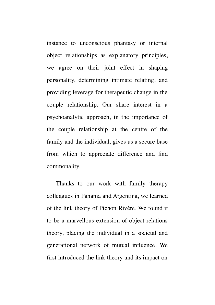instance to unconscious phantasy or internal object relationships as explanatory principles, we agree on their joint effect in shaping personality, determining intimate relating, and providing leverage for therapeutic change in the couple relationship. Our share interest in a psychoanalytic approach, in the importance of the couple relationship at the centre of the family and the individual, gives us a secure base from which to appreciate difference and find commonality.

Thanks to our work with family therapy colleagues in Panama and Argentina, we learned of the link theory of Pichon Rivère. We found it to be a marvellous extension of object relations theory, placing the individual in a societal and generational network of mutual influence. We first introduced the link theory and its impact on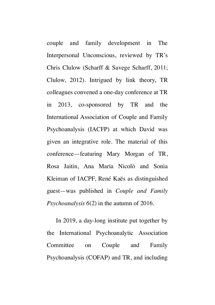couple and family development in The Interpersonal Unconscious, reviewed by TR's Chris Clulow (Scharff & Savege Scharff, 2011; Clulow, 2012). Intrigued by link theory, TR colleagues convened a one-day conference at TR in 2013, co-sponsored by TR and the International Association of Couple and Family Psychoanalysis (IACFP) at which David was given an integrative role. The material of this conference—featuring Mary Morgan of TR, Rosa Jaitin, Ana Maria Nicolò and Sonia Kleiman of IACPF, René Kaës as distinguished guest—was published in *Couple and Family Psychoanalysis 6*(2) in the autumn of 2016.

In 2019, a day-long institute put together by the International Psychoanalytic Association Committee on Couple and Family Psychoanalysis (COFAP) and TR, and including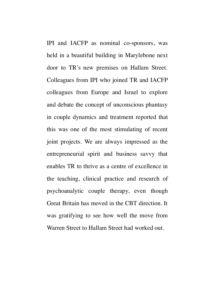IPI and IACFP as nominal co-sponsors, was held in a beautiful building in Marylebone next door to TR's new premises on Hallam Street. Colleagues from IPI who joined TR and IACFP colleagues from Europe and Israel to explore and debate the concept of unconscious phantasy in couple dynamics and treatment reported that this was one of the most stimulating of recent joint projects. We are always impressed as the entrepreneurial spirit and business savvy that enables TR to thrive as a centre of excellence in the teaching, clinical practice and research of psychoanalytic couple therapy, even though Great Britain has moved in the CBT direction. It was gratifying to see how well the move from Warren Street to Hallam Street had worked out.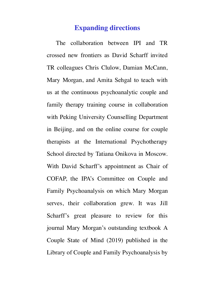#### **Expanding directions**

The collaboration between IPI and TR crossed new frontiers as David Scharff invited TR colleagues Chris Clulow, Damian McCann, Mary Morgan, and Amita Sehgal to teach with us at the continuous psychoanalytic couple and family therapy training course in collaboration with Peking University Counselling Department in Beijing, and on the online course for couple therapists at the International Psychotherapy School directed by Tatiana Onikova in Moscow. With David Scharff's appointment as Chair of COFAP, the IPA's Committee on Couple and Family Psychoanalysis on which Mary Morgan serves, their collaboration grew. It was Jill Scharff's great pleasure to review for this journal Mary Morgan's outstanding textbook A Couple State of Mind (2019) published in the Library of Couple and Family Psychoanalysis by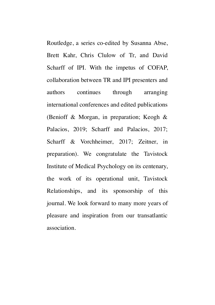Routledge, a series co-edited by Susanna Abse, Brett Kahr, Chris Clulow of Tr, and David Scharff of IPI. With the impetus of COFAP, collaboration between TR and IPI presenters and authors continues through arranging international conferences and edited publications (Benioff & Morgan, in preparation; Keogh & Palacios, 2019; Scharff and Palacios, 2017; Scharff & Vorchheimer, 2017; Zeitner, in preparation). We congratulate the Tavistock Institute of Medical Psychology on its centenary, the work of its operational unit, Tavistock Relationships, and its sponsorship of this journal. We look forward to many more years of pleasure and inspiration from our transatlantic association.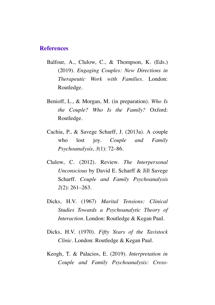#### **References**

- Balfour, A., Clulow, C., & Thompson, K. (Eds.) (2019). *Engaging Couples: New Directions in Therapeutic Work with Families*. London: Routledge.
- Benioff, L., & Morgan, M. (in preparation). *Who Is the Couple? Who Is the Family?* Oxford: Routledge.
- Cachia, P., & Savege Scharff, J. (2013a). A couple who lost joy. *Couple and Family Psychoanalysis, 3*(1): 72–86.
- Clulow, C. (2012). Review. *The Interpersonal Unconscious* by David E. Scharff & Jill Savege Scharff. *Couple and Family Psychoanalysis 2*(2): 261–263.
- Dicks, H.V. (1967) *Marital Tensions: Clinical Studies Towards a Psychoanalytic Theory of Interaction*. London: Routledge & Kegan Paul.
- Dicks, H.V. (1970). *Fifty Years of the Tavistock Clinic*. London: Routledge & Kegan Paul.
- Keogh, T. & Palacios, E. (2019). *Interpretation in Couple and Family Psychoanalysis: Cross-*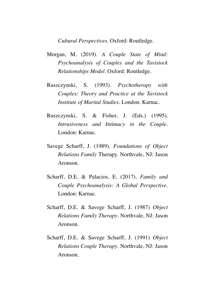*Cultural Perspectives*. Oxford: Routledge.

- Morgan, M. (2019). *A Couple State of Mind: Psychoanalysis of Couples and the Tavistock Relationships Model.* Oxford: Routledge.
- Ruszczynski, S. (1993). *Psychotherapy with Couples: Theory and Practice at the Tavistock Institute of Marital Studies*. London: Karnac.
- Ruszczynski, S. & Fisher, J. (Eds.) (1995). *Intrusiveness and Intimacy in the Couple*. London: Karnac.
- Savege Scharff, J. (1989). *Foundations of Object Relations Family* Therapy. Northvale, NJ: Jason Aronson.
- Scharff, D.E. & Palacios, E. (2017). *Family and Couple Psychoanalysis: A Global Perspective*. London: Karnac.
- Scharff, D.E. & Savege Scharff, J. (1987) *Object Relations Family Therapy*. Northvale, NJ: Jason Aronson.
- Scharff, D.E. & Savege Scharff, J. (1991) *Object Relations Couple Therapy*. Northvale, NJ: Jason Aronson.